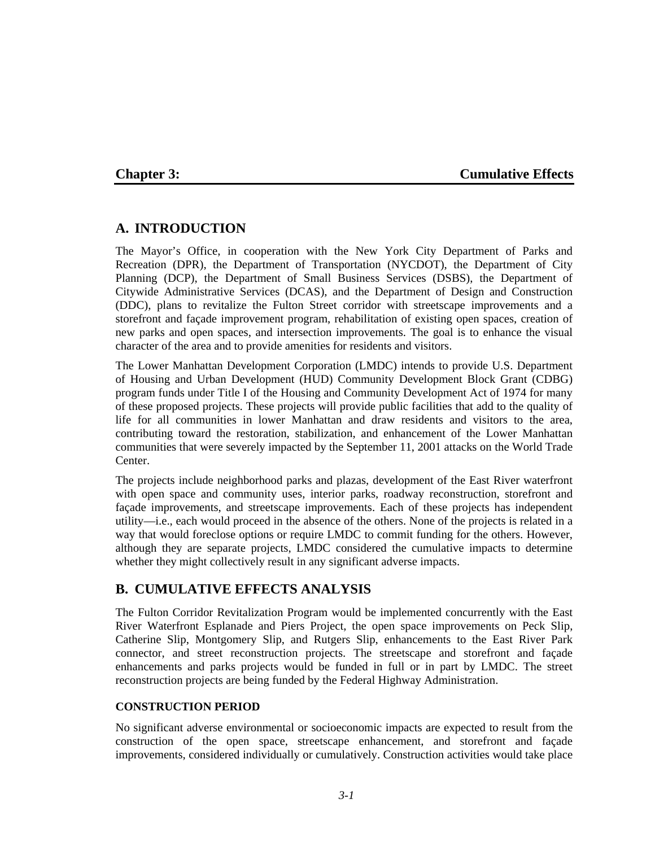## **Chapter 3: Cumulative Effects**

## **A. INTRODUCTION**

The Mayor's Office, in cooperation with the New York City Department of Parks and Recreation (DPR), the Department of Transportation (NYCDOT), the Department of City Planning (DCP), the Department of Small Business Services (DSBS), the Department of Citywide Administrative Services (DCAS), and the Department of Design and Construction (DDC), plans to revitalize the Fulton Street corridor with streetscape improvements and a storefront and façade improvement program, rehabilitation of existing open spaces, creation of new parks and open spaces, and intersection improvements. The goal is to enhance the visual character of the area and to provide amenities for residents and visitors.

The Lower Manhattan Development Corporation (LMDC) intends to provide U.S. Department of Housing and Urban Development (HUD) Community Development Block Grant (CDBG) program funds under Title I of the Housing and Community Development Act of 1974 for many of these proposed projects. These projects will provide public facilities that add to the quality of life for all communities in lower Manhattan and draw residents and visitors to the area, contributing toward the restoration, stabilization, and enhancement of the Lower Manhattan communities that were severely impacted by the September 11, 2001 attacks on the World Trade Center.

The projects include neighborhood parks and plazas, development of the East River waterfront with open space and community uses, interior parks, roadway reconstruction, storefront and façade improvements, and streetscape improvements. Each of these projects has independent utility—i.e., each would proceed in the absence of the others. None of the projects is related in a way that would foreclose options or require LMDC to commit funding for the others. However, although they are separate projects, LMDC considered the cumulative impacts to determine whether they might collectively result in any significant adverse impacts.

# **B. CUMULATIVE EFFECTS ANALYSIS**

The Fulton Corridor Revitalization Program would be implemented concurrently with the East River Waterfront Esplanade and Piers Project, the open space improvements on Peck Slip, Catherine Slip, Montgomery Slip, and Rutgers Slip, enhancements to the East River Park connector, and street reconstruction projects. The streetscape and storefront and façade enhancements and parks projects would be funded in full or in part by LMDC. The street reconstruction projects are being funded by the Federal Highway Administration.

### **CONSTRUCTION PERIOD**

No significant adverse environmental or socioeconomic impacts are expected to result from the construction of the open space, streetscape enhancement, and storefront and façade improvements, considered individually or cumulatively. Construction activities would take place